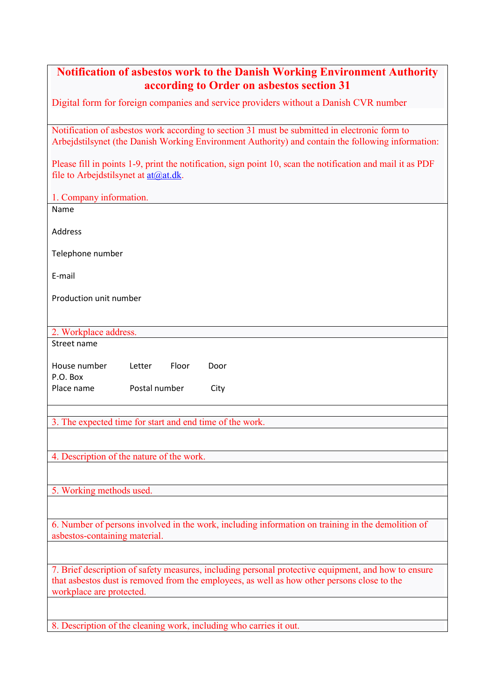| <b>Notification of asbestos work to the Danish Working Environment Authority</b><br>according to Order on asbestos section 31                                                                                                  |
|--------------------------------------------------------------------------------------------------------------------------------------------------------------------------------------------------------------------------------|
| Digital form for foreign companies and service providers without a Danish CVR number                                                                                                                                           |
| Notification of asbestos work according to section 31 must be submitted in electronic form to<br>Arbejdstilsynet (the Danish Working Environment Authority) and contain the following information:                             |
| Please fill in points 1-9, print the notification, sign point 10, scan the notification and mail it as PDF<br>file to Arbejdstilsynet at $\frac{\text{at}(a) \text{at}}{\text{at}(b)}$ .                                       |
| 1. Company information.                                                                                                                                                                                                        |
| Name                                                                                                                                                                                                                           |
| Address                                                                                                                                                                                                                        |
| Telephone number                                                                                                                                                                                                               |
| E-mail                                                                                                                                                                                                                         |
| Production unit number                                                                                                                                                                                                         |
| 2. Workplace address.                                                                                                                                                                                                          |
| Street name                                                                                                                                                                                                                    |
| Floor<br>House number<br>Letter<br>Door                                                                                                                                                                                        |
| P.O. Box<br>Postal number<br>Place name<br>City                                                                                                                                                                                |
|                                                                                                                                                                                                                                |
| 3. The expected time for start and end time of the work.                                                                                                                                                                       |
|                                                                                                                                                                                                                                |
| 4. Description of the nature of the work.                                                                                                                                                                                      |
|                                                                                                                                                                                                                                |
| 5. Working methods used.                                                                                                                                                                                                       |
|                                                                                                                                                                                                                                |
| 6. Number of persons involved in the work, including information on training in the demolition of<br>asbestos-containing material.                                                                                             |
|                                                                                                                                                                                                                                |
| 7. Brief description of safety measures, including personal protective equipment, and how to ensure<br>that asbestos dust is removed from the employees, as well as how other persons close to the<br>workplace are protected. |
|                                                                                                                                                                                                                                |
| 8. Description of the cleaning work, including who carries it out.                                                                                                                                                             |